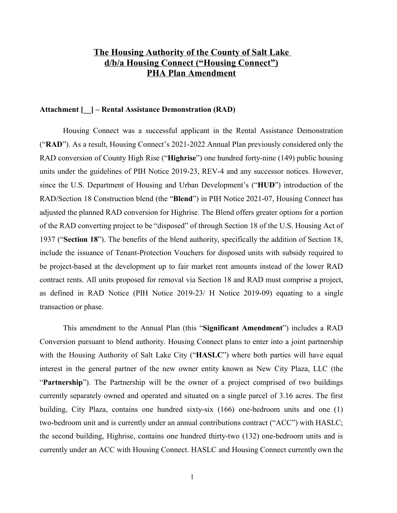# **The Housing Authority of the County of Salt Lake d/b/a Housing Connect ("Housing Connect") PHA Plan Amendment**

#### **Attachment [\_\_] – Rental Assistance Demonstration (RAD)**

Housing Connect was a successful applicant in the Rental Assistance Demonstration ("**RAD**"). As a result, Housing Connect's 2021-2022 Annual Plan previously considered only the RAD conversion of County High Rise ("**Highrise**") one hundred forty-nine (149) public housing units under the guidelines of PIH Notice 2019-23, REV-4 and any successor notices. However, since the U.S. Department of Housing and Urban Development's ("**HUD**") introduction of the RAD/Section 18 Construction blend (the "**Blend**") in PIH Notice 2021-07, Housing Connect has adjusted the planned RAD conversion for Highrise. The Blend offers greater options for a portion of the RAD converting project to be "disposed" of through Section 18 of the U.S. Housing Act of 1937 ("**Section 18**"). The benefits of the blend authority, specifically the addition of Section 18, include the issuance of Tenant-Protection Vouchers for disposed units with subsidy required to be project-based at the development up to fair market rent amounts instead of the lower RAD contract rents. All units proposed for removal via Section 18 and RAD must comprise a project, as defined in RAD Notice (PIH Notice 2019-23/ H Notice 2019-09) equating to a single transaction or phase.

This amendment to the Annual Plan (this "**Significant Amendment**") includes a RAD Conversion pursuant to blend authority. Housing Connect plans to enter into a joint partnership with the Housing Authority of Salt Lake City ("**HASLC**") where both parties will have equal interest in the general partner of the new owner entity known as New City Plaza, LLC (the "**Partnership**"). The Partnership will be the owner of a project comprised of two buildings currently separately owned and operated and situated on a single parcel of 3.16 acres. The first building, City Plaza, contains one hundred sixty-six (166) one-bedroom units and one (1) two-bedroom unit and is currently under an annual contributions contract ("ACC") with HASLC; the second building, Highrise, contains one hundred thirty-two (132) one-bedroom units and is currently under an ACC with Housing Connect. HASLC and Housing Connect currently own the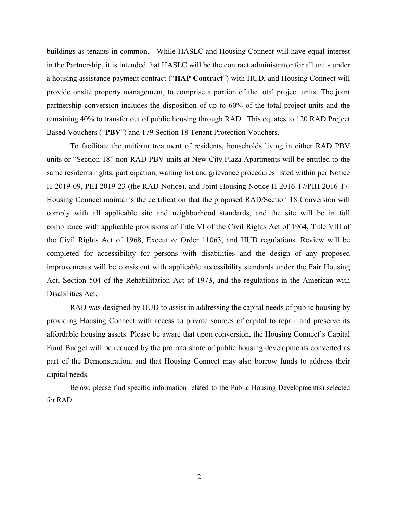buildings as tenants in common. While HASLC and Housing Connect will have equal interest in the Partnership, it is intended that HASLC will be the contract administrator for all units under a housing assistance payment contract ("**HAP Contract**") with HUD, and Housing Connect will provide onsite property management, to comprise a portion of the total project units. The joint partnership conversion includes the disposition of up to 60% of the total project units and the remaining 40% to transfer out of public housing through RAD. This equates to 120 RAD Project Based Vouchers ("**PBV**") and 179 Section 18 Tenant Protection Vouchers.

To facilitate the uniform treatment of residents, households living in either RAD PBV units or "Section 18" non-RAD PBV units at New City Plaza Apartments will be entitled to the same residents rights, participation, waiting list and grievance procedures listed within per Notice H-2019-09, PIH 2019-23 (the RAD Notice), and Joint Housing Notice H 2016-17/PIH 2016-17. Housing Connect maintains the certification that the proposed RAD/Section 18 Conversion will comply with all applicable site and neighborhood standards, and the site will be in full compliance with applicable provisions of Title VI of the Civil Rights Act of 1964, Title VIII of the Civil Rights Act of 1968, Executive Order 11063, and HUD regulations. Review will be completed for accessibility for persons with disabilities and the design of any proposed improvements will be consistent with applicable accessibility standards under the Fair Housing Act, Section 504 of the Rehabilitation Act of 1973, and the regulations in the American with Disabilities Act.

RAD was designed by HUD to assist in addressing the capital needs of public housing by providing Housing Connect with access to private sources of capital to repair and preserve its affordable housing assets. Please be aware that upon conversion, the Housing Connect's Capital Fund Budget will be reduced by the pro rata share of public housing developments converted as part of the Demonstration, and that Housing Connect may also borrow funds to address their capital needs.

Below, please find specific information related to the Public Housing Development(s) selected for RAD: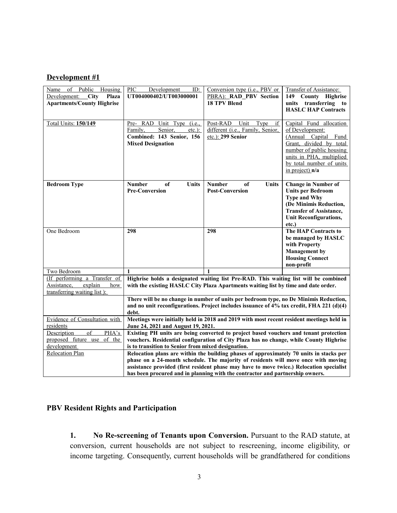## **Development #1**

| $\circ$ f<br>Public<br>Name<br>Housing<br>Development:<br>$\angle$ City<br>Plaza<br><b>Apartments/County Highrise</b> | PIC<br>Development<br>ID:<br>UT004000402/UT003000001                                                                                                                                                                                                                                                                                                       | Conversion type (i.e., PBV or<br>PBRA): RAD_PBV Section<br><b>18 TPV Blend</b>       | Transfer of Assistance:<br>149<br>County Highrise<br>units transferring<br>to<br><b>HASLC HAP Contracts</b>                                                                                          |
|-----------------------------------------------------------------------------------------------------------------------|------------------------------------------------------------------------------------------------------------------------------------------------------------------------------------------------------------------------------------------------------------------------------------------------------------------------------------------------------------|--------------------------------------------------------------------------------------|------------------------------------------------------------------------------------------------------------------------------------------------------------------------------------------------------|
| <b>Total Units: 150/149</b>                                                                                           | Pre- RAD Unit Type (i.e.,<br>Family,<br>Senior,<br>$etc.$ ):<br>Combined: 143 Senior, 156<br><b>Mixed Designation</b>                                                                                                                                                                                                                                      | Post-RAD Unit<br>Type<br>if<br>different (i.e., Family, Senior,<br>etc.): 299 Senior | Capital Fund allocation<br>of Development:<br>(Annual Capital Fund<br>Grant, divided by total<br>number of public housing<br>units in PHA, multiplied<br>by total number of units<br>in project) n/a |
| <b>Bedroom Type</b>                                                                                                   | <b>Number</b><br>of<br>Units<br><b>Pre-Conversion</b>                                                                                                                                                                                                                                                                                                      | <b>Number</b><br>of<br>Units<br><b>Post-Conversion</b>                               | <b>Change in Number of</b><br><b>Units per Bedroom</b><br><b>Type and Why</b><br>(De Minimis Reduction,<br><b>Transfer of Assistance,</b><br><b>Unit Reconfigurations,</b><br>etc.)                  |
| One Bedroom                                                                                                           | 298                                                                                                                                                                                                                                                                                                                                                        | 298                                                                                  | The HAP Contracts to<br>be managed by HASLC<br>with Property<br><b>Management</b> by<br><b>Housing Connect</b><br>non-profit                                                                         |
| Two Bedroom                                                                                                           | 1                                                                                                                                                                                                                                                                                                                                                          | $\mathbf{1}$                                                                         |                                                                                                                                                                                                      |
| (If performing a Transfer of<br>Assistance,<br>explain<br>how<br>transferring waiting list):                          | Highrise holds a designated waiting list Pre-RAD. This waiting list will be combined<br>with the existing HASLC City Plaza Apartments waiting list by time and date order.                                                                                                                                                                                 |                                                                                      |                                                                                                                                                                                                      |
|                                                                                                                       | There will be no change in number of units per bedroom type, no De Minimis Reduction,<br>and no unit reconfigurations. Project includes issuance of $4\%$ tax credit, FHA 221 (d)(4)<br>debt.                                                                                                                                                              |                                                                                      |                                                                                                                                                                                                      |
| Evidence of Consultation with<br>residents                                                                            | Meetings were initially held in 2018 and 2019 with most recent resident meetings held in<br>June 24, 2021 and August 19, 2021.                                                                                                                                                                                                                             |                                                                                      |                                                                                                                                                                                                      |
| of<br>PHA's<br>Description<br>of the<br>proposed future use<br>development                                            | Existing PH units are being converted to project based vouchers and tenant protection<br>vouchers. Residential configuration of City Plaza has no change, while County Highrise<br>is to transition to Senior from mixed designation.                                                                                                                      |                                                                                      |                                                                                                                                                                                                      |
| Relocation Plan                                                                                                       | Relocation plans are within the building phases of approximately 70 units in stacks per<br>phase on a 24-month schedule. The majority of residents will move once with moving<br>assistance provided (first resident phase may have to move twice.) Relocation specialist<br>has been procured and in planning with the contractor and partnership owners. |                                                                                      |                                                                                                                                                                                                      |

# **PBV Resident Rights and Participation**

**1. No Re-screening of Tenants upon Conversion.** Pursuant to the RAD statute, at conversion, current households are not subject to rescreening, income eligibility, or income targeting. Consequently, current households will be grandfathered for conditions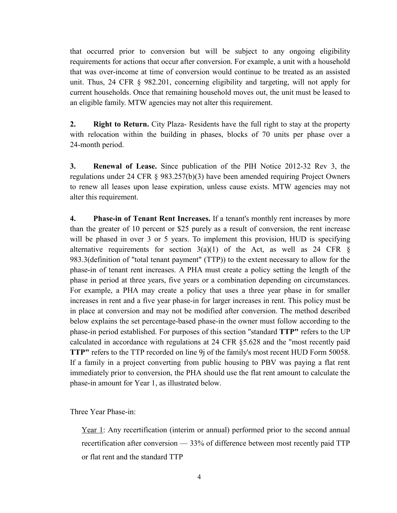that occurred prior to conversion but will be subject to any ongoing eligibility requirements for actions that occur after conversion. For example, a unit with a household that was over-income at time of conversion would continue to be treated as an assisted unit. Thus, 24 CFR § 982.201, concerning eligibility and targeting, will not apply for current households. Once that remaining household moves out, the unit must be leased to an eligible family. MTW agencies may not alter this requirement.

**2. Right to Return.** City Plaza- Residents have the full right to stay at the property with relocation within the building in phases, blocks of 70 units per phase over a 24-month period.

**3. Renewal of Lease.** Since publication of the PIH Notice 2012-32 Rev 3, the regulations under 24 CFR § 983.257(b)(3) have been amended requiring Project Owners to renew all leases upon lease expiration, unless cause exists. MTW agencies may not alter this requirement.

**4. Phase-in of Tenant Rent Increases.** If a tenant's monthly rent increases by more than the greater of 10 percent or \$25 purely as a result of conversion, the rent increase will be phased in over 3 or 5 years. To implement this provision, HUD is specifying alternative requirements for section  $3(a)(1)$  of the Act, as well as 24 CFR § 983.3(definition of "total tenant payment" (TTP)) to the extent necessary to allow for the phase-in of tenant rent increases. A PHA must create a policy setting the length of the phase in period at three years, five years or a combination depending on circumstances. For example, a PHA may create a policy that uses a three year phase in for smaller increases in rent and a five year phase-in for larger increases in rent. This policy must be in place at conversion and may not be modified after conversion. The method described below explains the set percentage-based phase-in the owner must follow according to the phase-in period established. For purposes of this section "standard **TTP"** refers to the UP calculated in accordance with regulations at 24 CFR §5.628 and the "most recently paid **TTP"** refers to the TTP recorded on line 9j of the family's most recent HUD Form 50058. If a family in a project converting from public housing to PBV was paying a flat rent immediately prior to conversion, the PHA should use the flat rent amount to calculate the phase-in amount for Year 1, as illustrated below.

Three Year Phase-in:

Year 1: Any recertification (interim or annual) performed prior to the second annual recertification after conversion — 33% of difference between most recently paid TTP or flat rent and the standard TTP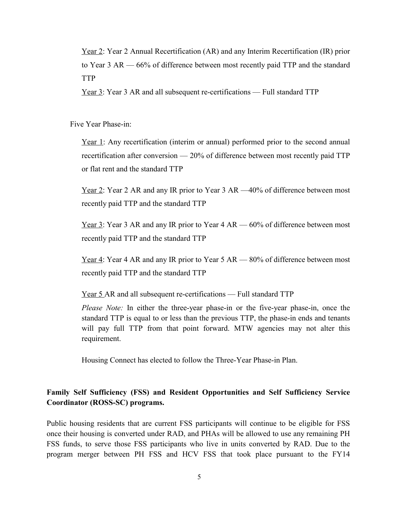Year 2: Year 2 Annual Recertification (AR) and any Interim Recertification (IR) prior to Year 3 AR — 66% of difference between most recently paid TTP and the standard TTP

Year 3: Year 3 AR and all subsequent re-certifications — Full standard TTP

Five Year Phase-in:

Year 1: Any recertification (interim or annual) performed prior to the second annual recertification after conversion — 20% of difference between most recently paid TTP or flat rent and the standard TTP

Year 2: Year 2 AR and any IR prior to Year 3 AR  $-40\%$  of difference between most recently paid TTP and the standard TTP

Year 3: Year 3 AR and any IR prior to Year 4 AR — 60% of difference between most recently paid TTP and the standard TTP

Year 4: Year 4 AR and any IR prior to Year 5 AR — 80% of difference between most recently paid TTP and the standard TTP

Year 5 AR and all subsequent re-certifications — Full standard TTP

*Please Note:* In either the three-year phase-in or the five-year phase-in, once the standard TTP is equal to or less than the previous TTP, the phase-in ends and tenants will pay full TTP from that point forward. MTW agencies may not alter this requirement.

Housing Connect has elected to follow the Three-Year Phase-in Plan.

## **Family Self Sufficiency (FSS) and Resident Opportunities and Self Sufficiency Service Coordinator (ROSS-SC) programs.**

Public housing residents that are current FSS participants will continue to be eligible for FSS once their housing is converted under RAD, and PHAs will be allowed to use any remaining PH FSS funds, to serve those FSS participants who live in units converted by RAD. Due to the program merger between PH FSS and HCV FSS that took place pursuant to the FY14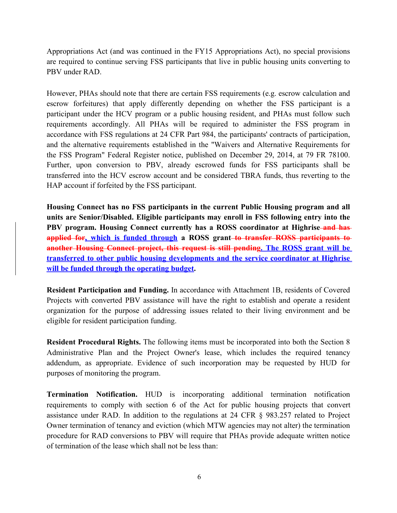Appropriations Act (and was continued in the FY15 Appropriations Act), no special provisions are required to continue serving FSS participants that live in public housing units converting to PBV under RAD.

However, PHAs should note that there are certain FSS requirements (e.g. escrow calculation and escrow forfeitures) that apply differently depending on whether the FSS participant is a participant under the HCV program or a public housing resident, and PHAs must follow such requirements accordingly. All PHAs will be required to administer the FSS program in accordance with FSS regulations at 24 CFR Part 984, the participants' contracts of participation, and the alternative requirements established in the "Waivers and Alternative Requirements for the FSS Program" Federal Register notice, published on December 29, 2014, at 79 FR 78100. Further, upon conversion to PBV, already escrowed funds for FSS participants shall be transferred into the HCV escrow account and be considered TBRA funds, thus reverting to the HAP account if forfeited by the FSS participant.

**Housing Connect has no FSS participants in the current Public Housing program and all units are Senior/Disabled. Eligible participants may enroll in FSS following entry into the PBV program. Housing Connect currently has a ROSS coordinator at Highrise and has applied for, which is funded through a ROSS grant to transfer ROSS participants to another Housing Connect project, this request is still pending. The ROSS grant will be transferred to other public housing developments and the service coordinator at Highrise will be funded through the operating budget.**

**Resident Participation and Funding.** In accordance with Attachment 1B, residents of Covered Projects with converted PBV assistance will have the right to establish and operate a resident organization for the purpose of addressing issues related to their living environment and be eligible for resident participation funding.

**Resident Procedural Rights.** The following items must be incorporated into both the Section 8 Administrative Plan and the Project Owner's lease, which includes the required tenancy addendum, as appropriate. Evidence of such incorporation may be requested by HUD for purposes of monitoring the program.

**Termination Notification.** HUD is incorporating additional termination notification requirements to comply with section 6 of the Act for public housing projects that convert assistance under RAD. In addition to the regulations at 24 CFR § 983.257 related to Project Owner termination of tenancy and eviction (which MTW agencies may not alter) the termination procedure for RAD conversions to PBV will require that PHAs provide adequate written notice of termination of the lease which shall not be less than: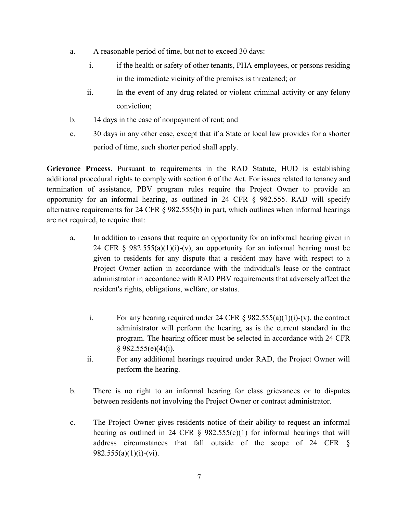- a. A reasonable period of time, but not to exceed 30 days:
	- i. if the health or safety of other tenants, PHA employees, or persons residing in the immediate vicinity of the premises is threatened; or
	- ii. In the event of any drug-related or violent criminal activity or any felony conviction;
- b. 14 days in the case of nonpayment of rent; and
- c. 30 days in any other case, except that if a State or local law provides for a shorter period of time, such shorter period shall apply.

**Grievance Process.** Pursuant to requirements in the RAD Statute, HUD is establishing additional procedural rights to comply with section 6 of the Act. For issues related to tenancy and termination of assistance, PBV program rules require the Project Owner to provide an opportunity for an informal hearing, as outlined in 24 CFR § 982.555. RAD will specify alternative requirements for 24 CFR § 982.555(b) in part, which outlines when informal hearings are not required, to require that:

- a. In addition to reasons that require an opportunity for an informal hearing given in 24 CFR  $\S$  982.555(a)(1)(i)-(v), an opportunity for an informal hearing must be given to residents for any dispute that a resident may have with respect to a Project Owner action in accordance with the individual's lease or the contract administrator in accordance with RAD PBV requirements that adversely affect the resident's rights, obligations, welfare, or status.
	- i. For any hearing required under 24 CFR  $\S$  982.555(a)(1)(i)-(v), the contract administrator will perform the hearing, as is the current standard in the program. The hearing officer must be selected in accordance with 24 CFR  $§ 982.555(e)(4)(i).$
	- ii. For any additional hearings required under RAD, the Project Owner will perform the hearing.
- b. There is no right to an informal hearing for class grievances or to disputes between residents not involving the Project Owner or contract administrator.
- c. The Project Owner gives residents notice of their ability to request an informal hearing as outlined in 24 CFR  $\S$  982.555(c)(1) for informal hearings that will address circumstances that fall outside of the scope of 24 CFR §  $982.555(a)(1)(i)-(vi).$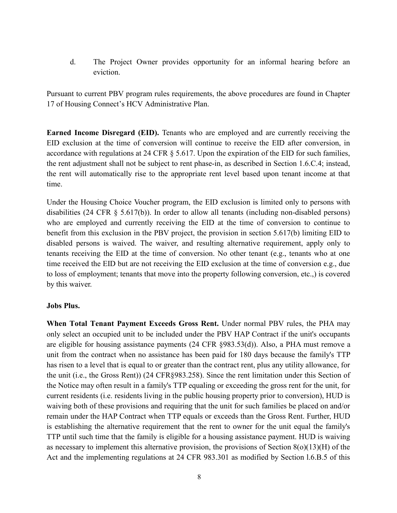d. The Project Owner provides opportunity for an informal hearing before an eviction.

Pursuant to current PBV program rules requirements, the above procedures are found in Chapter 17 of Housing Connect's HCV Administrative Plan.

**Earned Income Disregard (EID).** Tenants who are employed and are currently receiving the EID exclusion at the time of conversion will continue to receive the EID after conversion, in accordance with regulations at 24 CFR § 5.617. Upon the expiration of the EID for such families, the rent adjustment shall not be subject to rent phase-in, as described in Section 1.6.C.4; instead, the rent will automatically rise to the appropriate rent level based upon tenant income at that time.

Under the Housing Choice Voucher program, the EID exclusion is limited only to persons with disabilities (24 CFR § 5.617(b)). In order to allow all tenants (including non-disabled persons) who are employed and currently receiving the EID at the time of conversion to continue to benefit from this exclusion in the PBV project, the provision in section 5.617(b) limiting EID to disabled persons is waived. The waiver, and resulting alternative requirement, apply only to tenants receiving the EID at the time of conversion. No other tenant (e.g., tenants who at one time received the EID but are not receiving the EID exclusion at the time of conversion e.g., due to loss of employment; tenants that move into the property following conversion, etc.,) is covered by this waiver.

#### **Jobs Plus.**

**When Total Tenant Payment Exceeds Gross Rent.** Under normal PBV rules, the PHA may only select an occupied unit to be included under the PBV HAP Contract if the unit's occupants are eligible for housing assistance payments (24 CFR §983.53(d)). Also, a PHA must remove a unit from the contract when no assistance has been paid for 180 days because the family's TTP has risen to a level that is equal to or greater than the contract rent, plus any utility allowance, for the unit (i.e., the Gross Rent)) (24 CFR§983.258). Since the rent limitation under this Section of the Notice may often result in a family's TTP equaling or exceeding the gross rent for the unit, for current residents (i.e. residents living in the public housing property prior to conversion), HUD is waiving both of these provisions and requiring that the unit for such families be placed on and/or remain under the HAP Contract when TTP equals or exceeds than the Gross Rent. Further, HUD is establishing the alternative requirement that the rent to owner for the unit equal the family's TTP until such time that the family is eligible for a housing assistance payment. HUD is waiving as necessary to implement this alternative provision, the provisions of Section 8(o)(13)(H) of the Act and the implementing regulations at 24 CFR 983.301 as modified by Section l.6.B.5 of this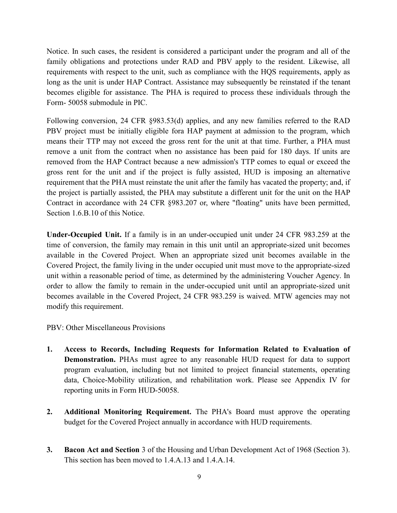Notice. In such cases, the resident is considered a participant under the program and all of the family obligations and protections under RAD and PBV apply to the resident. Likewise, all requirements with respect to the unit, such as compliance with the HQS requirements, apply as long as the unit is under HAP Contract. Assistance may subsequently be reinstated if the tenant becomes eligible for assistance. The PHA is required to process these individuals through the Form- 50058 submodule in PIC.

Following conversion, 24 CFR §983.53(d) applies, and any new families referred to the RAD PBV project must be initially eligible fora HAP payment at admission to the program, which means their TTP may not exceed the gross rent for the unit at that time. Further, a PHA must remove a unit from the contract when no assistance has been paid for 180 days. If units are removed from the HAP Contract because a new admission's TTP comes to equal or exceed the gross rent for the unit and if the project is fully assisted, HUD is imposing an alternative requirement that the PHA must reinstate the unit after the family has vacated the property; and, if the project is partially assisted, the PHA may substitute a different unit for the unit on the HAP Contract in accordance with 24 CFR §983.207 or, where "floating" units have been permitted, Section 1.6.B.10 of this Notice.

**Under-Occupied Unit.** If a family is in an under-occupied unit under 24 CFR 983.259 at the time of conversion, the family may remain in this unit until an appropriate-sized unit becomes available in the Covered Project. When an appropriate sized unit becomes available in the Covered Project, the family living in the under occupied unit must move to the appropriate-sized unit within a reasonable period of time, as determined by the administering Voucher Agency. In order to allow the family to remain in the under-occupied unit until an appropriate-sized unit becomes available in the Covered Project, 24 CFR 983.259 is waived. MTW agencies may not modify this requirement.

PBV: Other Miscellaneous Provisions

- **1. Access to Records, Including Requests for Information Related to Evaluation of Demonstration.** PHAs must agree to any reasonable HUD request for data to support program evaluation, including but not limited to project financial statements, operating data, Choice-Mobility utilization, and rehabilitation work. Please see Appendix IV for reporting units in Form HUD-50058.
- **2. Additional Monitoring Requirement.** The PHA's Board must approve the operating budget for the Covered Project annually in accordance with HUD requirements.
- **3. Bacon Act and Section** 3 of the Housing and Urban Development Act of 1968 (Section 3). This section has been moved to 1.4.A.13 and 1.4.A.14.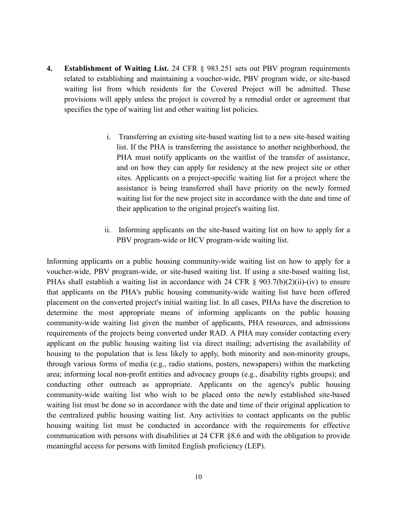- **4. Establishment of Waiting List.** 24 CFR § 983.251 sets out PBV program requirements related to establishing and maintaining a voucher-wide, PBV program wide, or site-based waiting list from which residents for the Covered Project will be admitted. These provisions will apply unless the project is covered by a remedial order or agreement that specifies the type of waiting list and other waiting list policies.
	- i. Transferring an existing site-based waiting list to a new site-based waiting list. If the PHA is transferring the assistance to another neighborhood, the PHA must notify applicants on the waitlist of the transfer of assistance, and on how they can apply for residency at the new project site or other sites. Applicants on a project-specific waiting list for a project where the assistance is being transferred shall have priority on the newly formed waiting list for the new project site in accordance with the date and time of their application to the original project's waiting list.
	- ii. Informing applicants on the site-based waiting list on how to apply for a PBV program-wide or HCV program-wide waiting list.

Informing applicants on a public housing community-wide waiting list on how to apply for a voucher-wide, PBV program-wide, or site-based waiting list. If using a site-based waiting list, PHAs shall establish a waiting list in accordance with 24 CFR  $\S$  903.7(b)(2)(ii)-(iv) to ensure that applicants on the PHA's public housing community-wide waiting list have been offered placement on the converted project's initial waiting list. In all cases, PHAs have the discretion to determine the most appropriate means of informing applicants on the public housing community-wide waiting list given the number of applicants, PHA resources, and admissions requirements of the projects being converted under RAD. A PHA may consider contacting every applicant on the public housing waiting list via direct mailing; advertising the availability of housing to the population that is less likely to apply, both minority and non-minority groups, through various forms of media (e.g., radio stations, posters, newspapers) within the marketing area; informing local non-profit entities and advocacy groups (e.g., disability rights groups); and conducting other outreach as appropriate. Applicants on the agency's public housing community-wide waiting list who wish to be placed onto the newly established site-based waiting list must be done so in accordance with the date and time of their original application to the centralized public housing waiting list. Any activities to contact applicants on the public housing waiting list must be conducted in accordance with the requirements for effective communication with persons with disabilities at 24 CFR §8.6 and with the obligation to provide meaningful access for persons with limited English proficiency (LEP).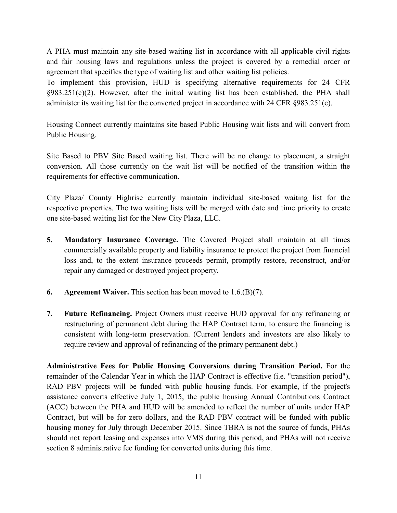A PHA must maintain any site-based waiting list in accordance with all applicable civil rights and fair housing laws and regulations unless the project is covered by a remedial order or agreement that specifies the type of waiting list and other waiting list policies.

To implement this provision, HUD is specifying alternative requirements for 24 CFR §983.251(c)(2). However, after the initial waiting list has been established, the PHA shall administer its waiting list for the converted project in accordance with 24 CFR §983.251(c).

Housing Connect currently maintains site based Public Housing wait lists and will convert from Public Housing.

Site Based to PBV Site Based waiting list. There will be no change to placement, a straight conversion. All those currently on the wait list will be notified of the transition within the requirements for effective communication.

City Plaza/ County Highrise currently maintain individual site-based waiting list for the respective properties. The two waiting lists will be merged with date and time priority to create one site-based waiting list for the New City Plaza, LLC.

- **5. Mandatory Insurance Coverage.** The Covered Project shall maintain at all times commercially available property and liability insurance to protect the project from financial loss and, to the extent insurance proceeds permit, promptly restore, reconstruct, and/or repair any damaged or destroyed project property.
- **6. Agreement Waiver.** This section has been moved to 1.6.(B)(7).
- **7. Future Refinancing.** Project Owners must receive HUD approval for any refinancing or restructuring of permanent debt during the HAP Contract term, to ensure the financing is consistent with long-term preservation. (Current lenders and investors are also likely to require review and approval of refinancing of the primary permanent debt.)

**Administrative Fees for Public Housing Conversions during Transition Period.** For the remainder of the Calendar Year in which the HAP Contract is effective (i.e. "transition period"), RAD PBV projects will be funded with public housing funds. For example, if the project's assistance converts effective July 1, 2015, the public housing Annual Contributions Contract (ACC) between the PHA and HUD will be amended to reflect the number of units under HAP Contract, but will be for zero dollars, and the RAD PBV contract will be funded with public housing money for July through December 2015. Since TBRA is not the source of funds, PHAs should not report leasing and expenses into VMS during this period, and PHAs will not receive section 8 administrative fee funding for converted units during this time.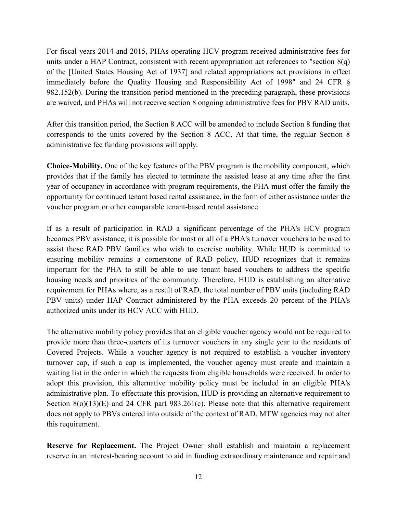For fiscal years 2014 and 2015, PHAs operating HCV program received administrative fees for units under a HAP Contract, consistent with recent appropriation act references to "section  $8(q)$ " of the [United States Housing Act of 1937] and related appropriations act provisions in effect immediately before the Quality Housing and Responsibility Act of 1998" and 24 CFR § 982.152(b). During the transition period mentioned in the preceding paragraph, these provisions are waived, and PHAs will not receive section 8 ongoing administrative fees for PBV RAD units.

After this transition period, the Section 8 ACC will be amended to include Section 8 funding that corresponds to the units covered by the Section 8 ACC. At that time, the regular Section 8 administrative fee funding provisions will apply.

**Choice-Mobility.** One of the key features of the PBV program is the mobility component, which provides that if the family has elected to terminate the assisted lease at any time after the first year of occupancy in accordance with program requirements, the PHA must offer the family the opportunity for continued tenant based rental assistance, in the form of either assistance under the voucher program or other comparable tenant-based rental assistance.

If as a result of participation in RAD a significant percentage of the PHA's HCV program becomes PBV assistance, it is possible for most or all of a PHA's turnover vouchers to be used to assist those RAD PBV families who wish to exercise mobility. While HUD is committed to ensuring mobility remains a cornerstone of RAD policy, HUD recognizes that it remains important for the PHA to still be able to use tenant based vouchers to address the specific housing needs and priorities of the community. Therefore, HUD is establishing an alternative requirement for PHAs where, as a result of RAD, the total number of PBV units (including RAD PBV units) under HAP Contract administered by the PHA exceeds 20 percent of the PHA's authorized units under its HCV ACC with HUD.

The alternative mobility policy provides that an eligible voucher agency would not be required to provide more than three-quarters of its turnover vouchers in any single year to the residents of Covered Projects. While a voucher agency is not required to establish a voucher inventory turnover cap, if such a cap is implemented, the voucher agency must create and maintain a waiting list in the order in which the requests from eligible households were received. In order to adopt this provision, this alternative mobility policy must be included in an eligible PHA's administrative plan. To effectuate this provision, HUD is providing an alternative requirement to Section  $8(o)(13)(E)$  and 24 CFR part  $983.261(c)$ . Please note that this alternative requirement does not apply to PBVs entered into outside of the context of RAD. MTW agencies may not alter this requirement.

**Reserve for Replacement.** The Project Owner shall establish and maintain a replacement reserve in an interest-bearing account to aid in funding extraordinary maintenance and repair and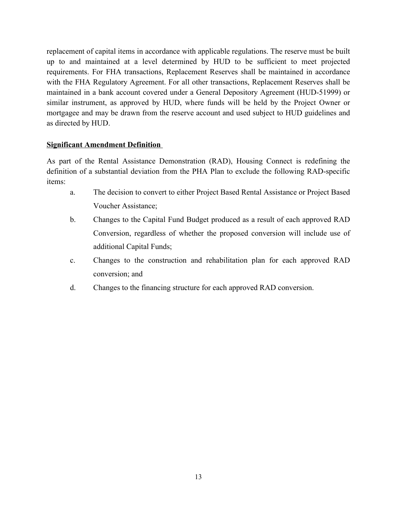replacement of capital items in accordance with applicable regulations. The reserve must be built up to and maintained at a level determined by HUD to be sufficient to meet projected requirements. For FHA transactions, Replacement Reserves shall be maintained in accordance with the FHA Regulatory Agreement. For all other transactions, Replacement Reserves shall be maintained in a bank account covered under a General Depository Agreement (HUD-51999) or similar instrument, as approved by HUD, where funds will be held by the Project Owner or mortgagee and may be drawn from the reserve account and used subject to HUD guidelines and as directed by HUD.

### **Significant Amendment Definition**

As part of the Rental Assistance Demonstration (RAD), Housing Connect is redefining the definition of a substantial deviation from the PHA Plan to exclude the following RAD-specific items:

- a. The decision to convert to either Project Based Rental Assistance or Project Based Voucher Assistance;
- b. Changes to the Capital Fund Budget produced as a result of each approved RAD Conversion, regardless of whether the proposed conversion will include use of additional Capital Funds;
- c. Changes to the construction and rehabilitation plan for each approved RAD conversion; and
- d. Changes to the financing structure for each approved RAD conversion.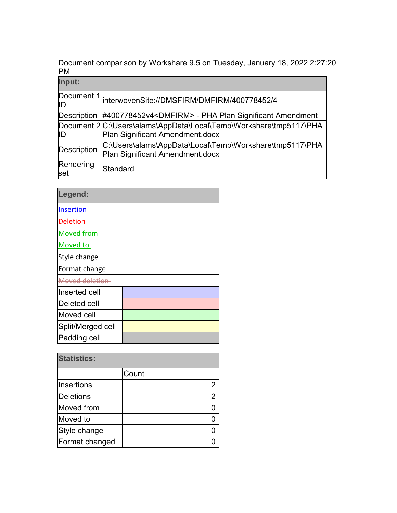Document comparison by Workshare 9.5 on Tuesday, January 18, 2022 2:27:20 PM

| Input:             |                                                                                                       |
|--------------------|-------------------------------------------------------------------------------------------------------|
| Document 1<br>ID   | interwovenSite://DMSFIRM/DMFIRM/400778452/4                                                           |
| <b>Description</b> | #400778452v4 <dmfirm> - PHA Plan Significant Amendment</dmfirm>                                       |
| IID                | Document 2 C:\Users\alams\AppData\Local\Temp\Workshare\tmp5117\PHA<br>Plan Significant Amendment.docx |
| <b>Description</b> | C:\Users\alams\AppData\Local\Temp\Workshare\tmp5117\PHA<br>Plan Significant Amendment.docx            |
| Rendering<br>set   | Standard                                                                                              |

| Legend:           |  |
|-------------------|--|
| <b>Insertion</b>  |  |
| Nalation          |  |
| Moyed from        |  |
| <b>Moved to</b>   |  |
| Style change      |  |
| Format change     |  |
| Moved deletion    |  |
| Inserted cell     |  |
| Deleted cell      |  |
| Moved cell        |  |
| Split/Merged cell |  |
| Padding cell      |  |

| <b>Statistics:</b> |       |  |
|--------------------|-------|--|
|                    | Count |  |
| Insertions         |       |  |
| <b>Deletions</b>   |       |  |
| Moved from         |       |  |
| Moved to           |       |  |
| Style change       |       |  |
| Format changed     |       |  |